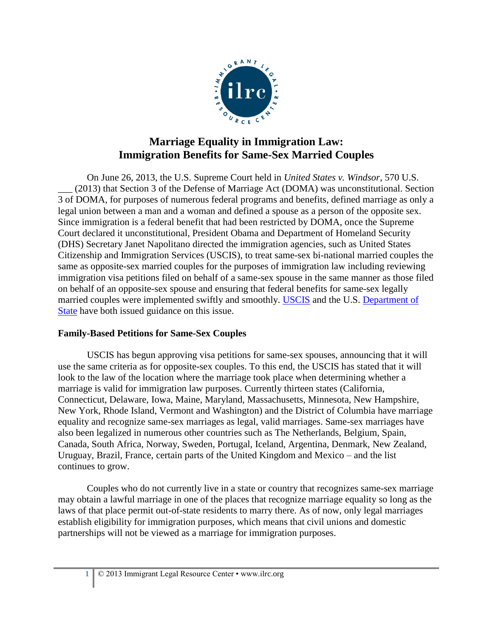

## **Marriage Equality in Immigration Law: Immigration Benefits for Same-Sex Married Couples**

On June 26, 2013, the U.S. Supreme Court held in *United States v. Windsor*, 570 U.S. (2013) that Section 3 of the Defense of Marriage Act (DOMA) was unconstitutional. Section 3 of DOMA, for purposes of numerous federal programs and benefits, defined marriage as only a legal union between a man and a woman and defined a spouse as a person of the opposite sex. Since immigration is a federal benefit that had been restricted by DOMA, once the Supreme Court declared it unconstitutional, President Obama and Department of Homeland Security (DHS) Secretary Janet Napolitano directed the immigration agencies, such as United States Citizenship and Immigration Services (USCIS), to treat same-sex bi-national married couples the same as opposite-sex married couples for the purposes of immigration law including reviewing immigration visa petitions filed on behalf of a same-sex spouse in the same manner as those filed on behalf of an opposite-sex spouse and ensuring that federal benefits for same-sex legally married couples were implemented swiftly and smoothly. [USCIS](http://www.uscis.gov/portal/site/uscis/menuitem.eb1d4c2a3e5b9ac89243c6a7543f6d1a/?vgnextoid=2543215c310af310VgnVCM100000082ca60aRCRD&vgnextchannel=2543215c310af310VgnVCM100000082ca60aRCRD) and the U.S. [Department of](http://travel.state.gov/visa/frvi/frvi_6036.html)  [State](http://travel.state.gov/visa/frvi/frvi_6036.html) have both issued guidance on this issue.

## **Family-Based Petitions for Same-Sex Couples**

USCIS has begun approving visa petitions for same-sex spouses, announcing that it will use the same criteria as for opposite-sex couples. To this end, the USCIS has stated that it will look to the law of the location where the marriage took place when determining whether a marriage is valid for immigration law purposes. Currently thirteen states (California, Connecticut, Delaware, Iowa, Maine, Maryland, Massachusetts, Minnesota, New Hampshire, New York, Rhode Island, Vermont and Washington) and the District of Columbia have marriage equality and recognize same-sex marriages as legal, valid marriages. Same-sex marriages have also been legalized in numerous other countries such as The Netherlands, Belgium, Spain, Canada, South Africa, Norway, Sweden, Portugal, Iceland, Argentina, Denmark, New Zealand, Uruguay, Brazil, France, certain parts of the United Kingdom and Mexico – and the list continues to grow.

Couples who do not currently live in a state or country that recognizes same-sex marriage may obtain a lawful marriage in one of the places that recognize marriage equality so long as the laws of that place permit out-of-state residents to marry there. As of now, only legal marriages establish eligibility for immigration purposes, which means that civil unions and domestic partnerships will not be viewed as a marriage for immigration purposes.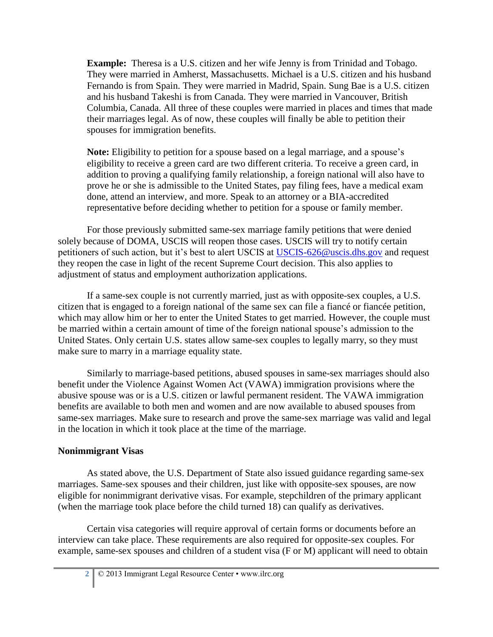**Example:** Theresa is a U.S. citizen and her wife Jenny is from Trinidad and Tobago. They were married in Amherst, Massachusetts. Michael is a U.S. citizen and his husband Fernando is from Spain. They were married in Madrid, Spain. Sung Bae is a U.S. citizen and his husband Takeshi is from Canada. They were married in Vancouver, British Columbia, Canada. All three of these couples were married in places and times that made their marriages legal. As of now, these couples will finally be able to petition their spouses for immigration benefits.

**Note:** Eligibility to petition for a spouse based on a legal marriage, and a spouse's eligibility to receive a green card are two different criteria. To receive a green card, in addition to proving a qualifying family relationship, a foreign national will also have to prove he or she is admissible to the United States, pay filing fees, have a medical exam done, attend an interview, and more. Speak to an attorney or a BIA-accredited representative before deciding whether to petition for a spouse or family member.

For those previously submitted same-sex marriage family petitions that were denied solely because of DOMA, USCIS will reopen those cases. USCIS will try to notify certain petitioners of such action, but it's best to alert USCIS at [USCIS-626@uscis.dhs.gov](mailto:USCIS-626@uscis.dhs.gov) and request they reopen the case in light of the recent Supreme Court decision. This also applies to adjustment of status and employment authorization applications.

If a same-sex couple is not currently married, just as with opposite-sex couples, a U.S. citizen that is engaged to a foreign national of the same sex can file a fiancé or fiancée petition, which may allow him or her to enter the United States to get married. However, the couple must be married within a certain amount of time of the foreign national spouse's admission to the United States. Only certain U.S. states allow same-sex couples to legally marry, so they must make sure to marry in a marriage equality state.

Similarly to marriage-based petitions, abused spouses in same-sex marriages should also benefit under the Violence Against Women Act (VAWA) immigration provisions where the abusive spouse was or is a U.S. citizen or lawful permanent resident. The VAWA immigration benefits are available to both men and women and are now available to abused spouses from same-sex marriages. Make sure to research and prove the same-sex marriage was valid and legal in the location in which it took place at the time of the marriage.

## **Nonimmigrant Visas**

As stated above, the U.S. Department of State also issued guidance regarding same-sex marriages. Same-sex spouses and their children, just like with opposite-sex spouses, are now eligible for nonimmigrant derivative visas. For example, stepchildren of the primary applicant (when the marriage took place before the child turned 18) can qualify as derivatives.

Certain visa categories will require approval of certain forms or documents before an interview can take place. These requirements are also required for opposite-sex couples. For example, same-sex spouses and children of a student visa (F or M) applicant will need to obtain